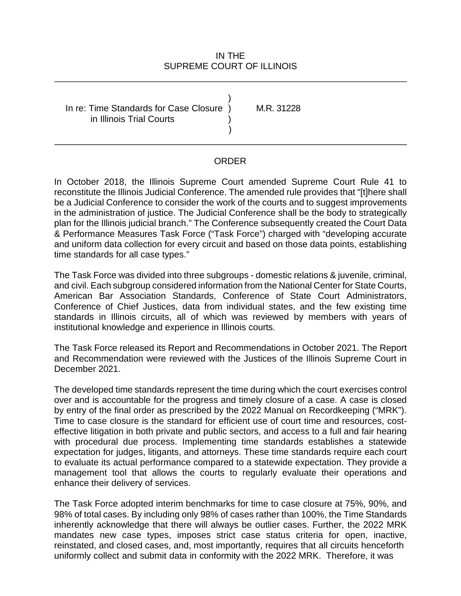#### IN THE SUPREME COURT OF ILLINOIS

In re: Time Standards for Case Closure ) M.R. 31228 ) in Illinois Trial Courts ) )

#### ORDER

 In October 2018, the Illinois Supreme Court amended Supreme Court Rule 41 to be a Judicial Conference to consider the work of the courts and to suggest improvements in the administration of justice. The Judicial Conference shall be the body to strategically reconstitute the Illinois Judicial Conference. The amended rule provides that "[t]here shall plan for the Illinois judicial branch." The Conference subsequently created the Court Data & Performance Measures Task Force ("Task Force") charged with "developing accurate and uniform data collection for every circuit and based on those data points, establishing time standards for all case types."

 and civil. Each subgroup considered information from the National Center for State Courts, Conference of Chief Justices, data from individual states, and the few existing time standards in Illinois circuits, all of which was reviewed by members with years of institutional knowledge and experience in Illinois courts. The Task Force was divided into three subgroups - domestic relations & juvenile, criminal, American Bar Association Standards, Conference of State Court Administrators,

The Task Force released its Report and Recommendations in October 2021. The Report and Recommendation were reviewed with the Justices of the Illinois Supreme Court in December 2021.

 The developed time standards represent the time during which the court exercises control over and is accountable for the progress and timely closure of a case. A case is closed to evaluate its actual performance compared to a statewide expectation. They provide a by entry of the final order as prescribed by the 2022 Manual on Recordkeeping ("MRK"). Time to case closure is the standard for efficient use of court time and resources, costeffective litigation in both private and public sectors, and access to a full and fair hearing with procedural due process. Implementing time standards establishes a statewide expectation for judges, litigants, and attorneys. These time standards require each court management tool that allows the courts to regularly evaluate their operations and enhance their delivery of services.

 mandates new case types, imposes strict case status criteria for open, inactive, reinstated, and closed cases, and, most importantly, requires that all circuits henceforth uniformly collect and submit data in conformity with the 2022 MRK. Therefore, it was The Task Force adopted interim benchmarks for time to case closure at 75%, 90%, and 98% of total cases. By including only 98% of cases rather than 100%, the Time Standards inherently acknowledge that there will always be outlier cases. Further, the 2022 MRK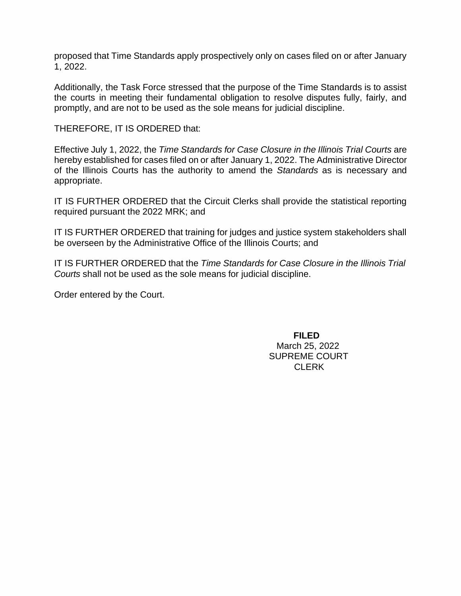proposed that Time Standards apply prospectively only on cases filed on or after January 1, 2022.

 Additionally, the Task Force stressed that the purpose of the Time Standards is to assist the courts in meeting their fundamental obligation to resolve disputes fully, fairly, and promptly, and are not to be used as the sole means for judicial discipline.

THEREFORE, IT IS ORDERED that:

 Effective July 1, 2022, the *Time Standards for Case Closure in the Illinois Trial Courts* are hereby established for cases filed on or after January 1, 2022. The Administrative Director of the Illinois Courts has the authority to amend the *Standards* as is necessary and appropriate.

 IT IS FURTHER ORDERED that the Circuit Clerks shall provide the statistical reporting required pursuant the 2022 MRK; and

IT IS FURTHER ORDERED that training for judges and justice system stakeholders shall be overseen by the Administrative Office of the Illinois Courts; and

 IT IS FURTHER ORDERED that the *Time Standards for Case Closure in the Illinois Trial Courts* shall not be used as the sole means for judicial discipline.

Order entered by the Court.

**FILED**  March 25, 2022 SUPREME COURT CLERK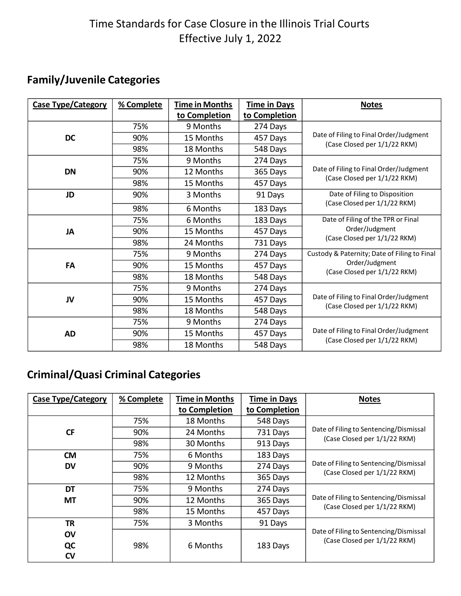# Time Standards for Case Closure in the Illinois Trial Courts Effective July 1, 2022

### **Family/Juvenile Categories**

| <b>Case Type/Category</b> | % Complete | <b>Time in Months</b> | <b>Time in Days</b> | <b>Notes</b>                                 |
|---------------------------|------------|-----------------------|---------------------|----------------------------------------------|
|                           |            | to Completion         | to Completion       |                                              |
|                           | 75%        | 9 Months              | 274 Days            |                                              |
| <b>DC</b>                 | 90%        | 15 Months             | 457 Days            | Date of Filing to Final Order/Judgment       |
|                           | 98%        | 18 Months             | 548 Days            | (Case Closed per 1/1/22 RKM)                 |
|                           | 75%        | 9 Months              | 274 Days            |                                              |
| <b>DN</b>                 | 90%        | 12 Months             | 365 Days            | Date of Filing to Final Order/Judgment       |
|                           | 98%        | 15 Months             | 457 Days            | (Case Closed per 1/1/22 RKM)                 |
| JD                        | 90%        | 3 Months              | 91 Days             | Date of Filing to Disposition                |
|                           | 98%        | 6 Months              | 183 Days            | (Case Closed per 1/1/22 RKM)                 |
|                           | 75%        | 6 Months              | 183 Days            | Date of Filing of the TPR or Final           |
| JA                        | 90%        | 15 Months             | 457 Days            | Order/Judgment                               |
|                           | 98%        | 24 Months             | 731 Days            | (Case Closed per 1/1/22 RKM)                 |
|                           | 75%        | 9 Months              | 274 Days            | Custody & Paternity; Date of Filing to Final |
| FA                        | 90%        | 15 Months             | 457 Days            | Order/Judgment                               |
|                           | 98%        | 18 Months             | 548 Days            | (Case Closed per 1/1/22 RKM)                 |
|                           | 75%        | 9 Months              | 274 Days            |                                              |
| JV                        | 90%        | 15 Months             | 457 Days            | Date of Filing to Final Order/Judgment       |
|                           | 98%        | 18 Months             | 548 Days            | (Case Closed per 1/1/22 RKM)                 |
|                           | 75%        | 9 Months              | 274 Days            |                                              |
| <b>AD</b>                 | 90%        | 15 Months             | 457 Days            | Date of Filing to Final Order/Judgment       |
|                           | 98%        | 18 Months             | 548 Days            | (Case Closed per 1/1/22 RKM)                 |

## **Criminal/Quasi Criminal Categories**

| <b>Case Type/Category</b> | % Complete | <b>Time in Months</b> | <b>Time in Days</b> | <b>Notes</b>                           |
|---------------------------|------------|-----------------------|---------------------|----------------------------------------|
|                           |            | to Completion         | to Completion       |                                        |
|                           | 75%        | 18 Months             | 548 Days            |                                        |
| <b>CF</b>                 | 90%        | 24 Months             | 731 Days            | Date of Filing to Sentencing/Dismissal |
|                           | 98%        | 30 Months             | 913 Days            | (Case Closed per 1/1/22 RKM)           |
| <b>CM</b>                 | 75%        | 6 Months              | 183 Days            |                                        |
| <b>DV</b>                 | 90%        | 9 Months              | 274 Days            | Date of Filing to Sentencing/Dismissal |
|                           | 98%        | 12 Months             | 365 Days            | (Case Closed per 1/1/22 RKM)           |
| DT                        | 75%        | 9 Months              | 274 Days            |                                        |
| <b>MT</b>                 | 90%        | 12 Months             | 365 Days            | Date of Filing to Sentencing/Dismissal |
|                           | 98%        | 15 Months             | 457 Days            | (Case Closed per 1/1/22 RKM)           |
| <b>TR</b>                 | 75%        | 3 Months              | 91 Days             |                                        |
| <b>OV</b>                 |            |                       |                     | Date of Filing to Sentencing/Dismissal |
| QC                        | 98%        | 6 Months              | 183 Days            | (Case Closed per 1/1/22 RKM)           |
| CV                        |            |                       |                     |                                        |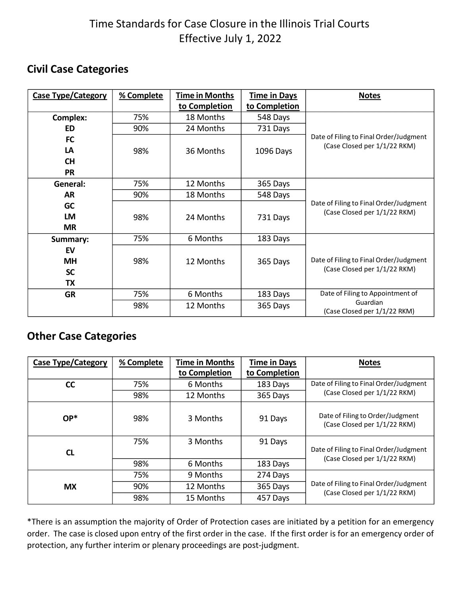# Time Standards for Case Closure in the Illinois Trial Courts Effective July 1, 2022

## **Civil Case Categories**

| <b>Case Type/Category</b> | % Complete | <b>Time in Months</b> | <b>Time in Days</b> | <b>Notes</b>                             |
|---------------------------|------------|-----------------------|---------------------|------------------------------------------|
|                           |            | to Completion         | to Completion       |                                          |
| Complex:                  | 75%        | 18 Months             | 548 Days            |                                          |
| ED                        | 90%        | 24 Months             | 731 Days            |                                          |
| <b>FC</b>                 |            |                       |                     | Date of Filing to Final Order/Judgment   |
| LA                        | 98%        | 36 Months             | 1096 Days           | (Case Closed per 1/1/22 RKM)             |
| <b>CH</b>                 |            |                       |                     |                                          |
| <b>PR</b>                 |            |                       |                     |                                          |
| General:                  | 75%        | 12 Months             | 365 Days            |                                          |
| AR                        | 90%        | 18 Months             | 548 Days            |                                          |
| <b>GC</b>                 |            |                       |                     | Date of Filing to Final Order/Judgment   |
| <b>LM</b>                 | 98%        | 24 Months             | 731 Days            | (Case Closed per 1/1/22 RKM)             |
| <b>MR</b>                 |            |                       |                     |                                          |
| Summary:                  | 75%        | 6 Months              | 183 Days            |                                          |
| EV                        |            |                       |                     |                                          |
| <b>MH</b>                 | 98%        | 12 Months             | 365 Days            | Date of Filing to Final Order/Judgment   |
| <b>SC</b>                 |            |                       |                     | (Case Closed per 1/1/22 RKM)             |
| TX                        |            |                       |                     |                                          |
| <b>GR</b>                 | 75%        | 6 Months              | 183 Days            | Date of Filing to Appointment of         |
|                           | 98%        | 12 Months             | 365 Days            | Guardian<br>(Case Closed per 1/1/22 RKM) |

#### **Other Case Categories**

| <b>Case Type/Category</b> | % Complete | <b>Time in Months</b><br>to Completion | <b>Time in Days</b><br>to Completion | <b>Notes</b>                                                     |
|---------------------------|------------|----------------------------------------|--------------------------------------|------------------------------------------------------------------|
| cc                        | 75%        | 6 Months                               | 183 Days                             | Date of Filing to Final Order/Judgment                           |
|                           | 98%        | 12 Months                              | 365 Days                             | (Case Closed per 1/1/22 RKM)                                     |
| $OP*$                     | 98%        | 3 Months                               | 91 Days                              | Date of Filing to Order/Judgment<br>(Case Closed per 1/1/22 RKM) |
| <b>CL</b>                 | 75%        | 3 Months                               | 91 Days                              | Date of Filing to Final Order/Judgment                           |
|                           | 98%        | 6 Months                               | 183 Days                             | (Case Closed per 1/1/22 RKM)                                     |
|                           | 75%        | 9 Months                               | 274 Days                             |                                                                  |
| <b>MX</b>                 | 90%        | 12 Months                              | 365 Days                             | Date of Filing to Final Order/Judgment                           |
|                           | 98%        | 15 Months                              | 457 Days                             | (Case Closed per 1/1/22 RKM)                                     |

 \*There is an assumption the majority of Order of Protection cases are initiated by a petition for an emergency order. The case is closed upon entry of the first order in the case. If the first order is for an emergency order of protection, any further interim or plenary proceedings are post-judgment.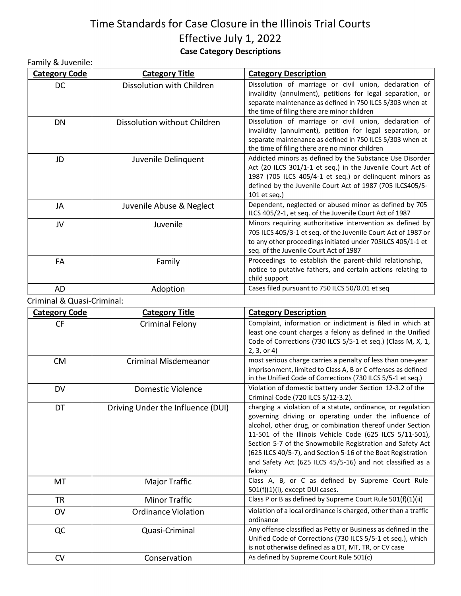## Time Standards for Case Closure in the Illinois Trial Courts Effective July 1, 2022 **Case Category Descriptions**

| Family & Juvenile:   |                              |                                                                                                                                                                                                                                                                |
|----------------------|------------------------------|----------------------------------------------------------------------------------------------------------------------------------------------------------------------------------------------------------------------------------------------------------------|
| <b>Category Code</b> | <b>Category Title</b>        | <b>Category Description</b>                                                                                                                                                                                                                                    |
| DC                   | Dissolution with Children    | Dissolution of marriage or civil union, declaration of<br>invalidity (annulment), petitions for legal separation, or<br>separate maintenance as defined in 750 ILCS 5/303 when at<br>the time of filing there are minor children                               |
| DN                   | Dissolution without Children | Dissolution of marriage or civil union, declaration of<br>invalidity (annulment), petition for legal separation, or<br>separate maintenance as defined in 750 ILCS 5/303 when at<br>the time of filing there are no minor children                             |
| JD                   | Juvenile Delinquent          | Addicted minors as defined by the Substance Use Disorder<br>Act (20 ILCS 301/1-1 et seq.) in the Juvenile Court Act of<br>1987 (705 ILCS 405/4-1 et seq.) or delinquent minors as<br>defined by the Juvenile Court Act of 1987 (705 ILCS405/5-<br>101 et seq.) |
| JA                   | Juvenile Abuse & Neglect     | Dependent, neglected or abused minor as defined by 705<br>ILCS 405/2-1, et seq. of the Juvenile Court Act of 1987                                                                                                                                              |
| JV                   | Juvenile                     | Minors requiring authoritative intervention as defined by<br>705 ILCS 405/3-1 et seq. of the Juvenile Court Act of 1987 or<br>to any other proceedings initiated under 705ILCS 405/1-1 et<br>seq. of the Juvenile Court Act of 1987                            |
| FA                   | Family                       | Proceedings to establish the parent-child relationship,<br>notice to putative fathers, and certain actions relating to<br>child support                                                                                                                        |
| AD                   | Adoption                     | Cases filed pursuant to 750 ILCS 50/0.01 et seq                                                                                                                                                                                                                |

Criminal & Quasi-Criminal:

| <b>Category Code</b> | <b>Category Title</b>             | <b>Category Description</b>                                                                                                                                                                                                                                                                                                                                                                                                                       |
|----------------------|-----------------------------------|---------------------------------------------------------------------------------------------------------------------------------------------------------------------------------------------------------------------------------------------------------------------------------------------------------------------------------------------------------------------------------------------------------------------------------------------------|
| CF                   | Criminal Felony                   | Complaint, information or indictment is filed in which at<br>least one count charges a felony as defined in the Unified<br>Code of Corrections (730 ILCS 5/5-1 et seq.) (Class M, X, 1,<br>2, 3, or 4)                                                                                                                                                                                                                                            |
| <b>CM</b>            | <b>Criminal Misdemeanor</b>       | most serious charge carries a penalty of less than one-year<br>imprisonment, limited to Class A, B or C offenses as defined<br>in the Unified Code of Corrections (730 ILCS 5/5-1 et seq.)                                                                                                                                                                                                                                                        |
| DV                   | Domestic Violence                 | Violation of domestic battery under Section 12-3.2 of the<br>Criminal Code (720 ILCS 5/12-3.2).                                                                                                                                                                                                                                                                                                                                                   |
| DT                   | Driving Under the Influence (DUI) | charging a violation of a statute, ordinance, or regulation<br>governing driving or operating under the influence of<br>alcohol, other drug, or combination thereof under Section<br>11-501 of the Illinois Vehicle Code (625 ILCS 5/11-501),<br>Section 5-7 of the Snowmobile Registration and Safety Act<br>(625 ILCS 40/5-7), and Section 5-16 of the Boat Registration<br>and Safety Act (625 ILCS 45/5-16) and not classified as a<br>felony |
| MT                   | Major Traffic                     | Class A, B, or C as defined by Supreme Court Rule<br>$501(f)(1)(i)$ , except DUI cases.                                                                                                                                                                                                                                                                                                                                                           |
| <b>TR</b>            | <b>Minor Traffic</b>              | Class P or B as defined by Supreme Court Rule 501(f)(1)(ii)                                                                                                                                                                                                                                                                                                                                                                                       |
| OV                   | <b>Ordinance Violation</b>        | violation of a local ordinance is charged, other than a traffic<br>ordinance                                                                                                                                                                                                                                                                                                                                                                      |
| QC                   | Quasi-Criminal                    | Any offense classified as Petty or Business as defined in the<br>Unified Code of Corrections (730 ILCS 5/5-1 et seq.), which<br>is not otherwise defined as a DT, MT, TR, or CV case                                                                                                                                                                                                                                                              |
| CV                   | Conservation                      | As defined by Supreme Court Rule 501(c)                                                                                                                                                                                                                                                                                                                                                                                                           |